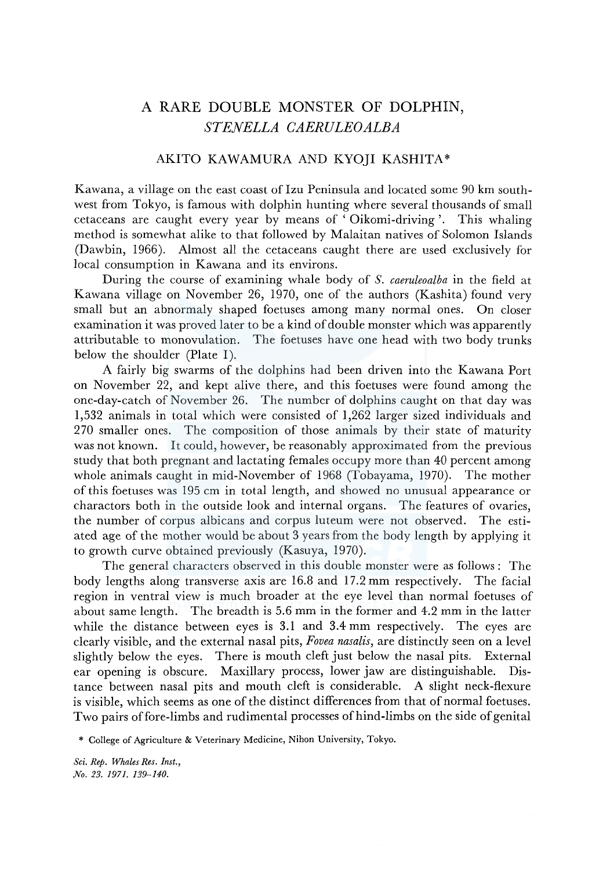## A RARE DOUBLE MONSTER OF DOLPHIN, *STENELLA CAERULEOALBA*

## AKITO KAWAMURA AND KYOJI KASHITA\*

Kawana, a village on the east coast of Izu Peninsula and located some 90 km south west from Tokyo, is famous with dolphin hunting where several thousands of small cetaceans are caught every year by means of 'Oikomi-driving '. This whaling method is somewhat alike to that followed by Malaitan natives of Solomon Islands (Dawbin, 1966). Almost all the cetaceans caught there are used exclusively for local consumption in Kawana and its environs.

During the course of examining whale body of S. *caeruleoalba* in the field at Kawana village on November 26, 1970, one of the authors (Kashita) found very small but an abnormaly shaped foetuses among many normal ones. On closer examination it was proved later to be a kind of double monster which was apparently attributable to monovulation. The foetuses have one head with two body trunks below the shoulder (Plate I).

A fairly big swarms of the dolphins had been driven into the Kawana Port on November 22, and kept alive there, and this foetuses were found among the one-day-catch of November 26. The number of dolphins caught on that day was 1,532 animals in total which were consisted of 1,262 larger sized individuals and 270 smaller ones. The composition of those animals by their state of maturity was not known. It could, however, be reasonably approximated from the previous study that both pregnant and lactating females occupy more than 40 percent among whole animals caught in mid-November of 1968 (Tobayama, 1970). The mother of this foetuses was 195 cm in total length, and showed no unusual appearance or charactors both in the outside look and internal organs. The features of ovaries, the number of corpus albicans and corpus luteum were not observed. The estiated age of the mother would be about 3 years from the body length by applying it to growth curve obtained previously (Kasuya, 1970).

The general characters observed in this double monster were as follows : The body lengths along transverse axis are 16.8 and 17.2 mm respectively. The facial region in ventral view is much broader at the eye level than normal foetuses of about same length. The breadth is 5.6 mm in the former and 4.2 mm in the latter while the distance between eyes is 3.1 and 3.4 mm respectively. The eyes are clearly visible, and the external nasal pits, *Fovea nasalis,* are distinctly seen on a level slightly below the eyes. There is mouth cleft just below the nasal pits. External ear opening is obscure. Maxillary process, lower jaw are distinguishable. Distance between nasal pits and mouth cleft is considerable. A slight neck-flexure is visible, which seems as one of the distinct differences from that of normal foetuses. Two pairs of fore-limbs and rudimental processes of hind-limbs on the side of genital

\* College of Agriculture & Veterinary Medicine, Nihon University, Tokyo.

*Sci. Rep. Whales Res. Inst., No. 23. 1971. 139-140.*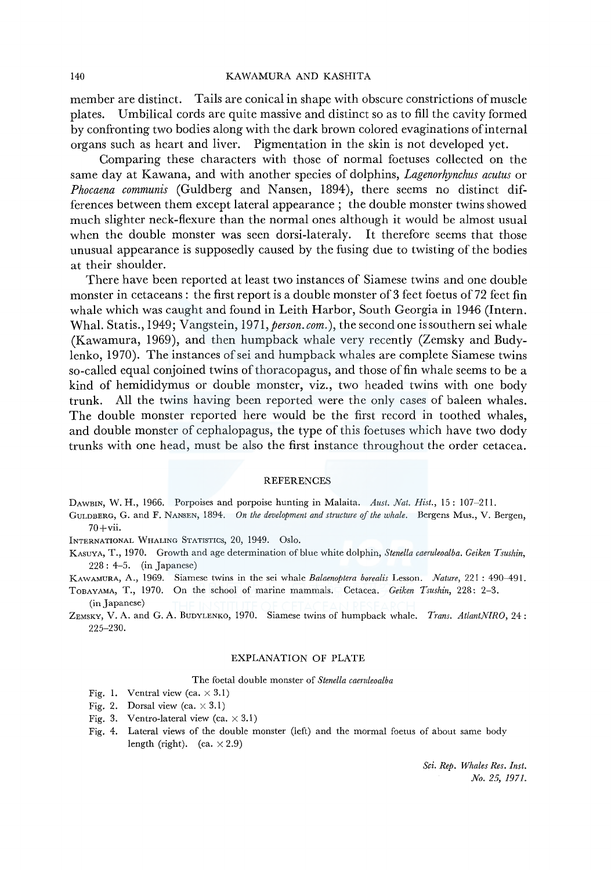member are distinct. Tails are conical in shape with obscure constrictions of muscle plates. Umbilical cords are quite massive and distinct so as to fill the cavity formed by confronting two bodies along with the dark brown colored evaginations ofinternal organs such as heart and liver. Pigmentation in the skin is not developed yet.

Comparing these characters with those of normal foetuses collected on the same day at Kawana, and with another species of dolphins, *Lagenorhynchus acutus* or *Phocaena communis* (Guldberg and Nansen, 1894), there seems no distinct differences between them except lateral appearance ; the double monster twins showed much slighter neck-flexure than the normal ones although it would be almost usual when the double monster was seen dorsi-lateraly. It therefore seems that those unusual appearance is supposedly caused by the fusing due to twisting of the bodies at their shoulder.

There have been reported at least two instances of Siamese twins and one double monster in cetaceans : the first report is a double monster of 3 feet foetus of 72 feet fin whale which was caught and found in Leith Harbor, South Georgia in 1946 (Intern. Whal. Statis., 1949; Vangstein, 1971, *person. com.*), the second one is southern sei whale (Kawamura, 1969), and then humpback whale very recently (Zemsky and Budylenko, 1970). The instances ofsei and humpback whales are complete Siamese twins so-called equal conjoined twins of thoracopagus, and those of fin whale seems to be a kind of hemididymus or double monster, viz., two headed twins with one body trunk. All the twins having been reported were the only cases of baleen whales. The double monster reported here would be the first record in toothed whales, and double monster of cephalopagus, the type of this foetuses which have two dody trunks with one head, must be also the first instance throughout the order cetacea.

## REFERENCES

DAwBrN, W. H., 1966. Porpoises and porpoise hunting in Malaita. *Aust. Nat. Hist.,* 15: 107-211.

GuLDBERG, G. and F. NANSEN, 1894. *On the development and structure of the whale.* Bergens Mus., V. Bergen,  $70+$ vii.

INTERNATIONAL WHALING STATISTICS, 20, 1949. Oslo.

KASUYA, T., 1970. Growth and age determination of blue white dolphin, *Stenella caeruleoalba. Geiken Tsushin*, 228: 4-5. (in Japanese)

KAWAMURA, A., 1969. Siamese twins in the sei whale *Balaenoptera horealis* Lesson. *Nature,* 221: 490-491.

ToBAYAMA, T., 1970. On the school of marine mammals. Cetacea. *Geiken Tsushin,* 228: 2-3.

(in Japanese)

ZEMSKY, V. A. and G. A. BuDYLENKO, 1970. Siamese twins of humpback whale. *Trans. AtlantNIRO,* 24: 225-230.

## EXPLANATION OF PLATE

The foetal double monster of *Stene/la caeruleoalba* 

- Fig. 1. Ventral view (ca.  $\times$  3.1)
- Fig. 2. Dorsal view (ca.  $\times$  3.1)
- Fig. 3. Ventro-lateral view (ca.  $\times$  3.1)
- Fig. 4. Lateral views of the double monster (left) and the mormal foetus of about same body length (right). (ca.  $\times$  2.9)

*Sci. Rep. Whales Res. Inst. No. 25, 1971.*